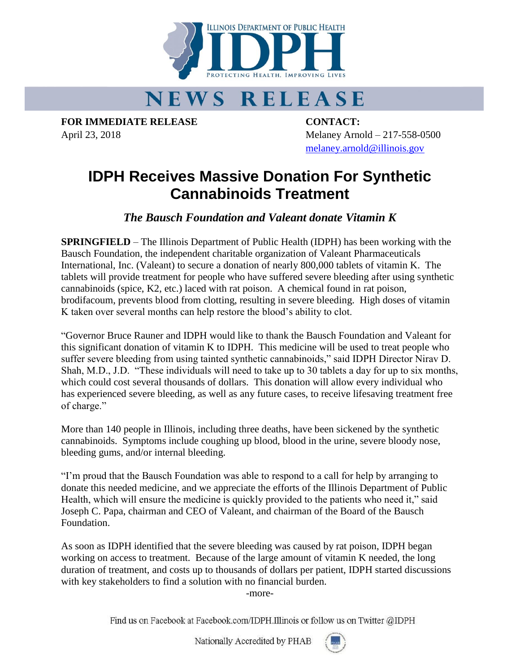

## **NEWS RELEASE**

**FOR IMMEDIATE RELEASE CONTACT:**

April 23, 2018 Melaney Arnold – 217-558-0500 [melaney.arnold@illinois.gov](mailto:melaney.arnold@illinois.gov)

## **IDPH Receives Massive Donation For Synthetic Cannabinoids Treatment**

*The Bausch Foundation and Valeant donate Vitamin K* 

**SPRINGFIELD** – The Illinois Department of Public Health (IDPH) has been working with the Bausch Foundation, the independent charitable organization of Valeant Pharmaceuticals International, Inc. (Valeant) to secure a donation of nearly 800,000 tablets of vitamin K. The tablets will provide treatment for people who have suffered severe bleeding after using synthetic cannabinoids (spice, K2, etc.) laced with rat poison. A chemical found in rat poison, brodifacoum, prevents blood from clotting, resulting in severe bleeding. High doses of vitamin K taken over several months can help restore the blood's ability to clot.

"Governor Bruce Rauner and IDPH would like to thank the Bausch Foundation and Valeant for this significant donation of vitamin K to IDPH. This medicine will be used to treat people who suffer severe bleeding from using tainted synthetic cannabinoids," said IDPH Director Nirav D. Shah, M.D., J.D. "These individuals will need to take up to 30 tablets a day for up to six months, which could cost several thousands of dollars. This donation will allow every individual who has experienced severe bleeding, as well as any future cases, to receive lifesaving treatment free of charge."

More than 140 people in Illinois, including three deaths, have been sickened by the synthetic cannabinoids. Symptoms include coughing up blood, blood in the urine, severe bloody nose, bleeding gums, and/or internal bleeding.

"I'm proud that the Bausch Foundation was able to respond to a call for help by arranging to donate this needed medicine, and we appreciate the efforts of the Illinois Department of Public Health, which will ensure the medicine is quickly provided to the patients who need it," said Joseph C. Papa, chairman and CEO of Valeant, and chairman of the Board of the Bausch Foundation.

As soon as IDPH identified that the severe bleeding was caused by rat poison, IDPH began working on access to treatment. Because of the large amount of vitamin K needed, the long duration of treatment, and costs up to thousands of dollars per patient, IDPH started discussions with key stakeholders to find a solution with no financial burden.

-more-

Find us on Facebook at Facebook.com/IDPH.Illinois or follow us on Twitter @IDPH

Nationally Accredited by PHAB